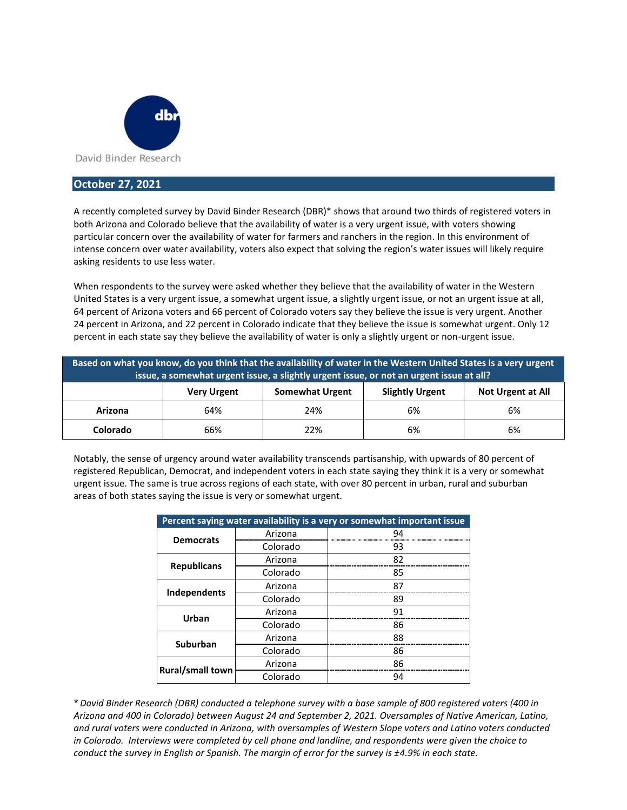

## **October 27, 2021**

A recently completed survey by David Binder Research (DBR)\* shows that around two thirds of registered voters in both Arizona and Colorado believe that the availability of water is a very urgent issue, with voters showing particular concern over the availability of water for farmers and ranchers in the region. In this environment of intense concern over water availability, voters also expect that solving the region's water issues will likely require asking residents to use less water.

When respondents to the survey were asked whether they believe that the availability of water in the Western United States is a very urgent issue, a somewhat urgent issue, a slightly urgent issue, or not an urgent issue at all, 64 percent of Arizona voters and 66 percent of Colorado voters say they believe the issue is very urgent. Another 24 percent in Arizona, and 22 percent in Colorado indicate that they believe the issue is somewhat urgent. Only 12 percent in each state say they believe the availability of water is only a slightly urgent or non-urgent issue.

| Based on what you know, do you think that the availability of water in the Western United States is a very urgent<br>issue, a somewhat urgent issue, a slightly urgent issue, or not an urgent issue at all? |                    |                        |                        |                          |  |  |  |
|--------------------------------------------------------------------------------------------------------------------------------------------------------------------------------------------------------------|--------------------|------------------------|------------------------|--------------------------|--|--|--|
|                                                                                                                                                                                                              | <b>Very Urgent</b> | <b>Somewhat Urgent</b> | <b>Slightly Urgent</b> | <b>Not Urgent at All</b> |  |  |  |
| Arizona                                                                                                                                                                                                      | 64%                | 24%                    | 6%                     | 6%                       |  |  |  |
| Colorado                                                                                                                                                                                                     | 66%                | 22%                    | 6%                     | 6%                       |  |  |  |

Notably, the sense of urgency around water availability transcends partisanship, with upwards of 80 percent of registered Republican, Democrat, and independent voters in each state saying they think it is a very or somewhat urgent issue. The same is true across regions of each state, with over 80 percent in urban, rural and suburban areas of both states saying the issue is very or somewhat urgent.

| Percent saying water availability is a very or somewhat important issue |          |    |  |  |
|-------------------------------------------------------------------------|----------|----|--|--|
| <b>Democrats</b>                                                        | Arizona  | 94 |  |  |
|                                                                         | Colorado | 93 |  |  |
| <b>Republicans</b>                                                      | Arizona  | 82 |  |  |
|                                                                         | Colorado | 85 |  |  |
|                                                                         | Arizona  | 87 |  |  |
| Independents                                                            | Colorado | 89 |  |  |
| Urban                                                                   | Arizona  | 91 |  |  |
|                                                                         | Colorado | 86 |  |  |
| <b>Suburban</b>                                                         | Arizona  | 88 |  |  |
|                                                                         | Colorado | 86 |  |  |
| <b>Rural/small town</b>                                                 | Arizona  | 86 |  |  |
|                                                                         | Colorado | 94 |  |  |

*\* David Binder Research (DBR) conducted a telephone survey with a base sample of 800 registered voters (400 in Arizona and 400 in Colorado) between August 24 and September 2, 2021. Oversamples of Native American, Latino, and rural voters were conducted in Arizona, with oversamples of Western Slope voters and Latino voters conducted in Colorado. Interviews were completed by cell phone and landline, and respondents were given the choice to conduct the survey in English or Spanish. The margin of error for the survey is ±4.9% in each state.*